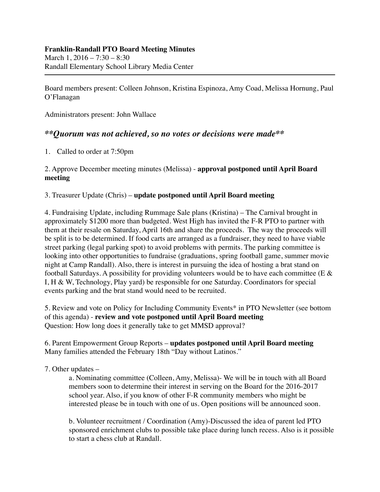Board members present: Colleen Johnson, Kristina Espinoza, Amy Coad, Melissa Hornung, Paul O'Flanagan

Administrators present: John Wallace

## *\*\*Quorum was not achieved, so no votes or decisions were made\*\**

1. Called to order at 7:50pm

2. Approve December meeting minutes (Melissa) - **approval postponed until April Board meeting**

## 3. Treasurer Update (Chris) – **update postponed until April Board meeting**

4. Fundraising Update, including Rummage Sale plans (Kristina) – The Carnival brought in approximately \$1200 more than budgeted. West High has invited the F-R PTO to partner with them at their resale on Saturday, April 16th and share the proceeds. The way the proceeds will be split is to be determined. If food carts are arranged as a fundraiser, they need to have viable street parking (legal parking spot) to avoid problems with permits. The parking committee is looking into other opportunities to fundraise (graduations, spring football game, summer movie night at Camp Randall). Also, there is interest in pursuing the idea of hosting a brat stand on football Saturdays. A possibility for providing volunteers would be to have each committee (E  $\&$ I, H & W, Technology, Play yard) be responsible for one Saturday. Coordinators for special events parking and the brat stand would need to be recruited.

5. Review and vote on Policy for Including Community Events\* in PTO Newsletter (see bottom of this agenda) - **review and vote postponed until April Board meeting** Question: How long does it generally take to get MMSD approval?

6. Parent Empowerment Group Reports – **updates postponed until April Board meeting** Many families attended the February 18th "Day without Latinos."

## 7. Other updates –

a. Nominating committee (Colleen, Amy, Melissa)- We will be in touch with all Board members soon to determine their interest in serving on the Board for the 2016-2017 school year. Also, if you know of other F-R community members who might be interested please be in touch with one of us. Open positions will be announced soon.

b. Volunteer recruitment / Coordination (Amy)-Discussed the idea of parent led PTO sponsored enrichment clubs to possible take place during lunch recess. Also is it possible to start a chess club at Randall.